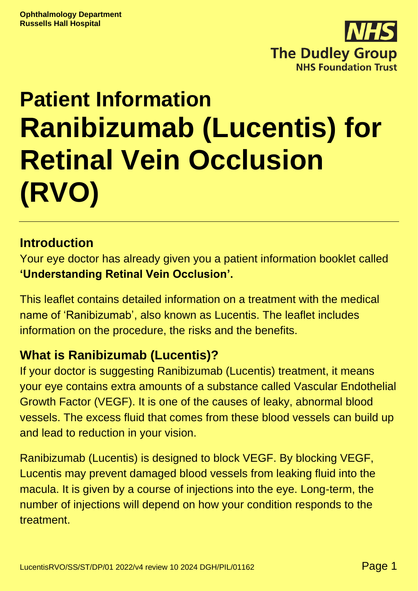

# **Patient Information Ranibizumab (Lucentis) for Retinal Vein Occlusion (RVO)**

#### **Introduction**

Your eye doctor has already given you a patient information booklet called **'Understanding Retinal Vein Occlusion'.**

This leaflet contains detailed information on a treatment with the medical name of 'Ranibizumab', also known as Lucentis. The leaflet includes information on the procedure, the risks and the benefits.

#### **What is Ranibizumab (Lucentis)?**

If your doctor is suggesting Ranibizumab (Lucentis) treatment, it means your eye contains extra amounts of a substance called Vascular Endothelial Growth Factor (VEGF). It is one of the causes of leaky, abnormal blood vessels. The excess fluid that comes from these blood vessels can build up and lead to reduction in your vision.

Ranibizumab (Lucentis) is designed to block VEGF. By blocking VEGF, Lucentis may prevent damaged blood vessels from leaking fluid into the macula. It is given by a course of injections into the eye. Long-term, the number of injections will depend on how your condition responds to the **treatment**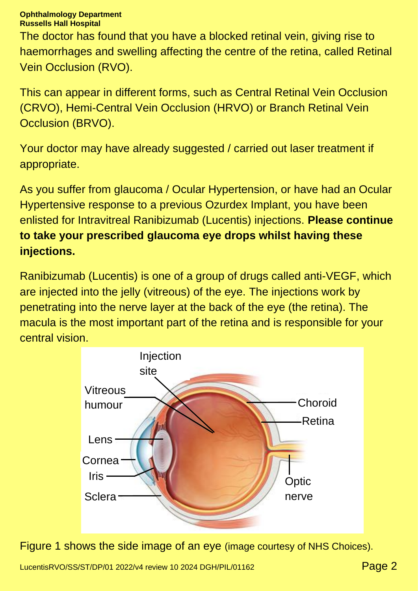The doctor has found that you have a blocked retinal vein, giving rise to haemorrhages and swelling affecting the centre of the retina, called Retinal Vein Occlusion (RVO).

This can appear in different forms, such as Central Retinal Vein Occlusion (CRVO), Hemi-Central Vein Occlusion (HRVO) or Branch Retinal Vein Occlusion (BRVO).

Your doctor may have already suggested / carried out laser treatment if appropriate.

As you suffer from glaucoma / Ocular Hypertension, or have had an Ocular Hypertensive response to a previous Ozurdex Implant, you have been enlisted for Intravitreal Ranibizumab (Lucentis) injections. **Please continue to take your prescribed glaucoma eye drops whilst having these injections.**

Ranibizumab (Lucentis) is one of a group of drugs called anti-VEGF, which are injected into the jelly (vitreous) of the eye. The injections work by penetrating into the nerve layer at the back of the eye (the retina). The macula is the most important part of the retina and is responsible for your central vision.



Figure 1 shows the side image of an eye (image courtesy of NHS Choices).

LucentisRVO/SS/ST/DP/01 2022/v4 review 10 2024 DGH/PIL/01162 **Page 2**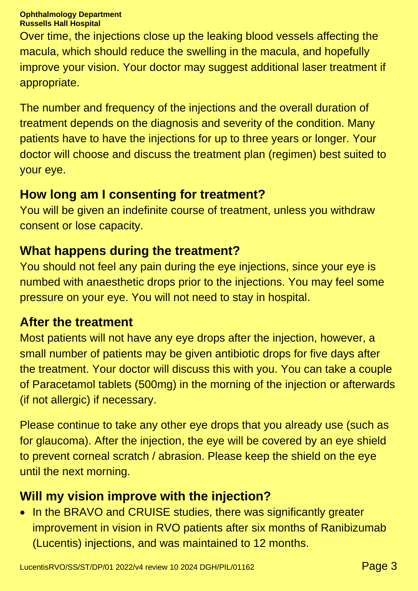Over time, the injections close up the leaking blood vessels affecting the macula, which should reduce the swelling in the macula, and hopefully improve your vision. Your doctor may suggest additional laser treatment if appropriate.

The number and frequency of the injections and the overall duration of treatment depends on the diagnosis and severity of the condition. Many patients have to have the injections for up to three years or longer. Your doctor will choose and discuss the treatment plan (regimen) best suited to your eye.

## **How long am I consenting for treatment?**

You will be given an indefinite course of treatment, unless you withdraw consent or lose capacity.

#### **What happens during the treatment?**

You should not feel any pain during the eye injections, since your eye is numbed with anaesthetic drops prior to the injections. You may feel some pressure on your eye. You will not need to stay in hospital.

#### **After the treatment**

Most patients will not have any eye drops after the injection, however, a small number of patients may be given antibiotic drops for five days after the treatment. Your doctor will discuss this with you. You can take a couple of Paracetamol tablets (500mg) in the morning of the injection or afterwards (if not allergic) if necessary.

Please continue to take any other eye drops that you already use (such as for glaucoma). After the injection, the eye will be covered by an eye shield to prevent corneal scratch / abrasion. Please keep the shield on the eye until the next morning.

#### **Will my vision improve with the injection?**

• In the BRAVO and CRUISE studies, there was significantly greater improvement in vision in RVO patients after six months of Ranibizumab (Lucentis) injections, and was maintained to 12 months.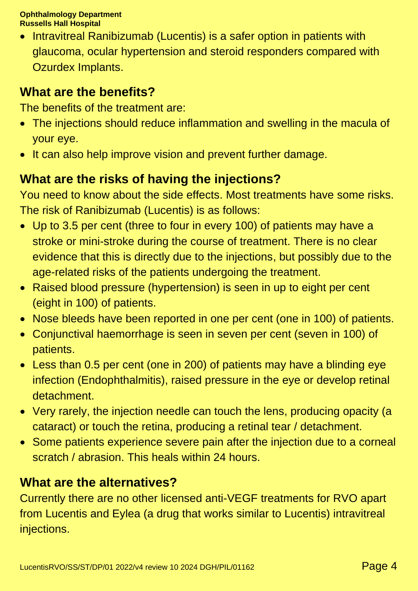• Intravitreal Ranibizumab (Lucentis) is a safer option in patients with glaucoma, ocular hypertension and steroid responders compared with Ozurdex Implants.

#### **What are the benefits?**

The benefits of the treatment are:

- The injections should reduce inflammation and swelling in the macula of your eye.
- It can also help improve vision and prevent further damage.

## **What are the risks of having the injections?**

You need to know about the side effects. Most treatments have some risks. The risk of Ranibizumab (Lucentis) is as follows:

- Up to 3.5 per cent (three to four in every 100) of patients may have a stroke or mini-stroke during the course of treatment. There is no clear evidence that this is directly due to the injections, but possibly due to the age-related risks of the patients undergoing the treatment.
- Raised blood pressure (hypertension) is seen in up to eight per cent (eight in 100) of patients.
- Nose bleeds have been reported in one per cent (one in 100) of patients.
- Conjunctival haemorrhage is seen in seven per cent (seven in 100) of patients.
- Less than 0.5 per cent (one in 200) of patients may have a blinding eye infection (Endophthalmitis), raised pressure in the eye or develop retinal detachment.
- Very rarely, the injection needle can touch the lens, producing opacity (a cataract) or touch the retina, producing a retinal tear / detachment.
- Some patients experience severe pain after the injection due to a corneal scratch / abrasion. This heals within 24 hours.

#### **What are the alternatives?**

Currently there are no other licensed anti-VEGF treatments for RVO apart from Lucentis and Eylea (a drug that works similar to Lucentis) intravitreal injections.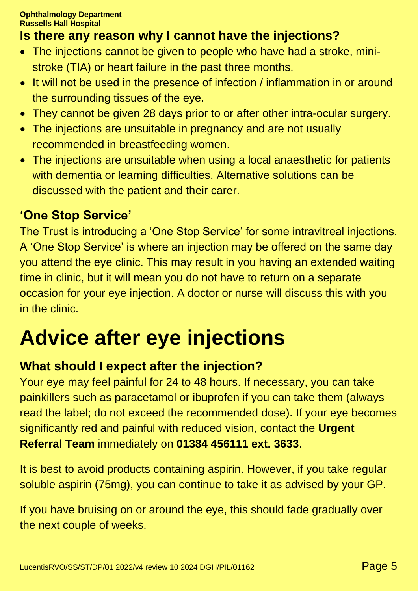## **Is there any reason why I cannot have the injections?**

- The injections cannot be given to people who have had a stroke, ministroke (TIA) or heart failure in the past three months.
- It will not be used in the presence of infection / inflammation in or around the surrounding tissues of the eye.
- They cannot be given 28 days prior to or after other intra-ocular surgery.
- The injections are unsuitable in pregnancy and are not usually recommended in breastfeeding women.
- The injections are unsuitable when using a local anaesthetic for patients with dementia or learning difficulties. Alternative solutions can be discussed with the patient and their carer.

## **'One Stop Service'**

The Trust is introducing a 'One Stop Service' for some intravitreal injections. A 'One Stop Service' is where an injection may be offered on the same day you attend the eye clinic. This may result in you having an extended waiting time in clinic, but it will mean you do not have to return on a separate occasion for your eye injection. A doctor or nurse will discuss this with you in the clinic.

## **Advice after eye injections**

#### **What should I expect after the injection?**

Your eye may feel painful for 24 to 48 hours. If necessary, you can take painkillers such as paracetamol or ibuprofen if you can take them (always read the label; do not exceed the recommended dose). If your eye becomes significantly red and painful with reduced vision, contact the **Urgent Referral Team** immediately on **01384 456111 ext. 3633**.

It is best to avoid products containing aspirin. However, if you take regular soluble aspirin (75mg), you can continue to take it as advised by your GP.

If you have bruising on or around the eye, this should fade gradually over the next couple of weeks.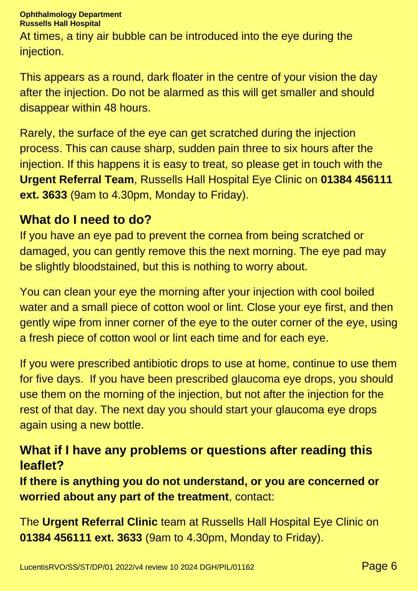At times, a tiny air bubble can be introduced into the eye during the injection.

This appears as a round, dark floater in the centre of your vision the day after the injection. Do not be alarmed as this will get smaller and should disappear within 48 hours.

Rarely, the surface of the eye can get scratched during the injection process. This can cause sharp, sudden pain three to six hours after the injection. If this happens it is easy to treat, so please get in touch with the **Urgent Referral Team**, Russells Hall Hospital Eye Clinic on **01384 456111 ext. 3633** (9am to 4.30pm, Monday to Friday).

#### **What do I need to do?**

If you have an eye pad to prevent the cornea from being scratched or damaged, you can gently remove this the next morning. The eye pad may be slightly bloodstained, but this is nothing to worry about.

You can clean your eye the morning after your injection with cool boiled water and a small piece of cotton wool or lint. Close your eye first, and then gently wipe from inner corner of the eye to the outer corner of the eye, using a fresh piece of cotton wool or lint each time and for each eye.

If you were prescribed antibiotic drops to use at home, continue to use them for five days. If you have been prescribed glaucoma eye drops, you should use them on the morning of the injection, but not after the injection for the rest of that day. The next day you should start your glaucoma eye drops again using a new bottle.

#### **What if I have any problems or questions after reading this leaflet?**

**If there is anything you do not understand, or you are concerned or worried about any part of the treatment**, contact:

The **Urgent Referral Clinic** team at Russells Hall Hospital Eye Clinic on **01384 456111 ext. 3633** (9am to 4.30pm, Monday to Friday).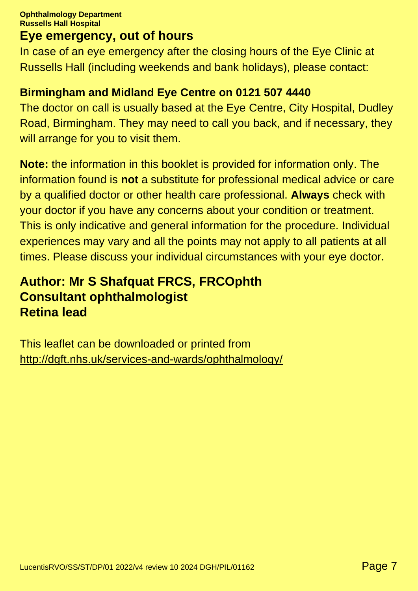## **Eye emergency, out of hours**

In case of an eye emergency after the closing hours of the Eye Clinic at Russells Hall (including weekends and bank holidays), please contact:

#### **Birmingham and Midland Eye Centre on 0121 507 4440**

The doctor on call is usually based at the Eye Centre, City Hospital, Dudley Road, Birmingham. They may need to call you back, and if necessary, they will arrange for you to visit them.

**Note:** the information in this booklet is provided for information only. The information found is **not** a substitute for professional medical advice or care by a qualified doctor or other health care professional. **Always** check with your doctor if you have any concerns about your condition or treatment. This is only indicative and general information for the procedure. Individual experiences may vary and all the points may not apply to all patients at all times. Please discuss your individual circumstances with your eye doctor.

## **Author: Mr S Shafquat FRCS, FRCOphth Consultant ophthalmologist Retina lead**

This leaflet can be downloaded or printed from <http://dgft.nhs.uk/services-and-wards/ophthalmology/>